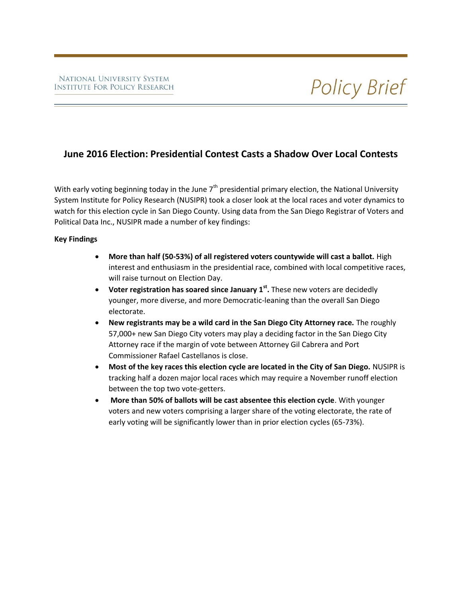## **June 2016 Election: Presidential Contest Casts a Shadow Over Local Contests**

With early voting beginning today in the June  $7<sup>th</sup>$  presidential primary election, the National University System Institute for Policy Research (NUSIPR) took a closer look at the local races and voter dynamics to watch for this election cycle in San Diego County. Using data from the San Diego Registrar of Voters and Political Data Inc., NUSIPR made a number of key findings:

#### **Key Findings**

- **More than half (50-53%) of all registered voters countywide will cast a ballot.** High interest and enthusiasm in the presidential race, combined with local competitive races, will raise turnout on Election Day.
- **Voter registration has soared since January 1st .** These new voters are decidedly younger, more diverse, and more Democratic-leaning than the overall San Diego electorate.
- **New registrants may be a wild card in the San Diego City Attorney race.** The roughly 57,000+ new San Diego City voters may play a deciding factor in the San Diego City Attorney race if the margin of vote between Attorney Gil Cabrera and Port Commissioner Rafael Castellanos is close.
- **Most of the key races this election cycle are located in the City of San Diego.** NUSIPR is tracking half a dozen major local races which may require a November runoff election between the top two vote-getters.
- **More than 50% of ballots will be cast absentee this election cycle**. With younger voters and new voters comprising a larger share of the voting electorate, the rate of early voting will be significantly lower than in prior election cycles (65-73%).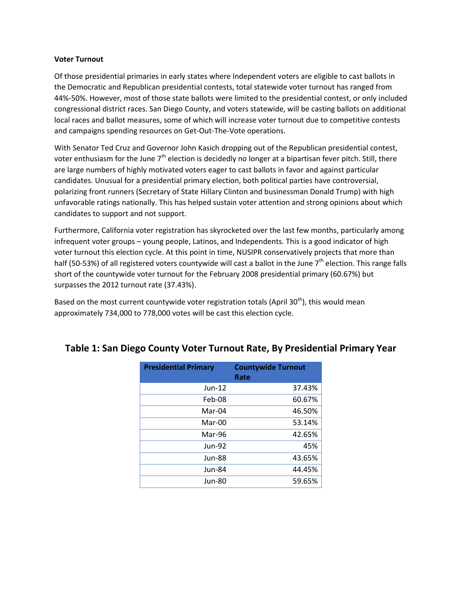#### **Voter Turnout**

Of those presidential primaries in early states where Independent voters are eligible to cast ballots in the Democratic and Republican presidential contests, total statewide voter turnout has ranged from 44%-50%. However, most of those state ballots were limited to the presidential contest, or only included congressional district races. San Diego County, and voters statewide, will be casting ballots on additional local races and ballot measures, some of which will increase voter turnout due to competitive contests and campaigns spending resources on Get-Out-The-Vote operations.

With Senator Ted Cruz and Governor John Kasich dropping out of the Republican presidential contest, voter enthusiasm for the June  $7<sup>th</sup>$  election is decidedly no longer at a bipartisan fever pitch. Still, there are large numbers of highly motivated voters eager to cast ballots in favor and against particular candidates. Unusual for a presidential primary election, both political parties have controversial, polarizing front runners (Secretary of State Hillary Clinton and businessman Donald Trump) with high unfavorable ratings nationally. This has helped sustain voter attention and strong opinions about which candidates to support and not support.

Furthermore, California voter registration has skyrocketed over the last few months, particularly among infrequent voter groups – young people, Latinos, and Independents. This is a good indicator of high voter turnout this election cycle. At this point in time, NUSIPR conservatively projects that more than half (50-53%) of all registered voters countywide will cast a ballot in the June  $7<sup>th</sup>$  election. This range falls short of the countywide voter turnout for the February 2008 presidential primary (60.67%) but surpasses the 2012 turnout rate (37.43%).

Based on the most current countywide voter registration totals (April 30<sup>th</sup>), this would mean approximately 734,000 to 778,000 votes will be cast this election cycle.

| <b>Presidential Primary</b> | <b>Countywide Turnout</b><br>Rate |  |
|-----------------------------|-----------------------------------|--|
| $Jun-12$                    | 37.43%                            |  |
| Feb-08                      | 60.67%                            |  |
| $Mar-04$                    | 46.50%                            |  |
| Mar-00                      | 53.14%                            |  |
| Mar-96                      | 42.65%                            |  |
| $Jun-92$                    | 45%                               |  |
| Jun-88                      | 43.65%                            |  |
| Jun-84                      | 44.45%                            |  |
| Jun-80                      | 59.65%                            |  |

## **Table 1: San Diego County Voter Turnout Rate, By Presidential Primary Year**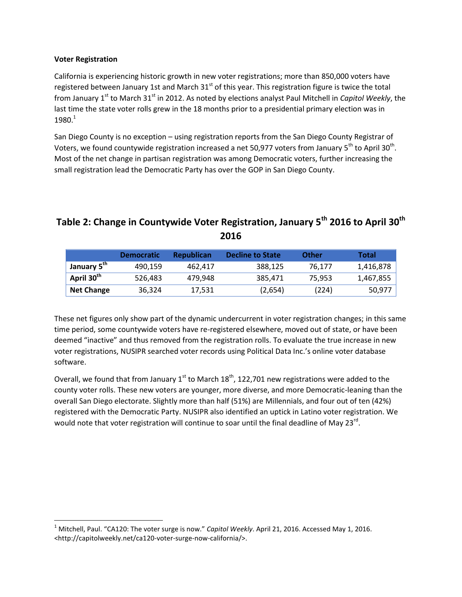#### **Voter Registration**

l

California is experiencing historic growth in new voter registrations; more than 850,000 voters have registered between January 1st and March 31<sup>st</sup> of this year. This registration figure is twice the total from January 1<sup>st</sup> to March 31<sup>st</sup> in 2012. As noted by elections analyst Paul Mitchell in *Capitol Weekly*, the last time the state voter rolls grew in the 18 months prior to a presidential primary election was in  $1980.<sup>1</sup>$ 

San Diego County is no exception – using registration reports from the San Diego County Registrar of Voters, we found countywide registration increased a net 50,977 voters from January 5<sup>th</sup> to April 30<sup>th</sup>. Most of the net change in partisan registration was among Democratic voters, further increasing the small registration lead the Democratic Party has over the GOP in San Diego County.

# **Table 2: Change in Countywide Voter Registration, January 5th 2016 to April 30th 2016**

|                         | <b>Democratic</b> | <b>Republican</b> | Decline to State | <b>Other</b> | Total     |
|-------------------------|-------------------|-------------------|------------------|--------------|-----------|
| January 5 <sup>th</sup> | 490.159           | 462.417           | 388.125          | 76.177       | 1,416,878 |
| April 30 <sup>th</sup>  | 526,483           | 479.948           | 385.471          | 75.953       | 1,467,855 |
| <b>Net Change</b>       | 36.324            | 17,531            | (2,654)          | (224)        | 50,977    |

These net figures only show part of the dynamic undercurrent in voter registration changes; in this same time period, some countywide voters have re-registered elsewhere, moved out of state, or have been deemed "inactive" and thus removed from the registration rolls. To evaluate the true increase in new voter registrations, NUSIPR searched voter records using Political Data Inc.'s online voter database software.

Overall, we found that from January  $1<sup>st</sup>$  to March 18<sup>th</sup>, 122,701 new registrations were added to the county voter rolls. These new voters are younger, more diverse, and more Democratic-leaning than the overall San Diego electorate. Slightly more than half (51%) are Millennials, and four out of ten (42%) registered with the Democratic Party. NUSIPR also identified an uptick in Latino voter registration. We would note that voter registration will continue to soar until the final deadline of May 23 $^{\text{rd}}$ .

<sup>1</sup> Mitchell, Paul. "CA120: The voter surge is now." *Capitol Weekly*. April 21, 2016. Accessed May 1, 2016. <http://capitolweekly.net/ca120-voter-surge-now-california/>.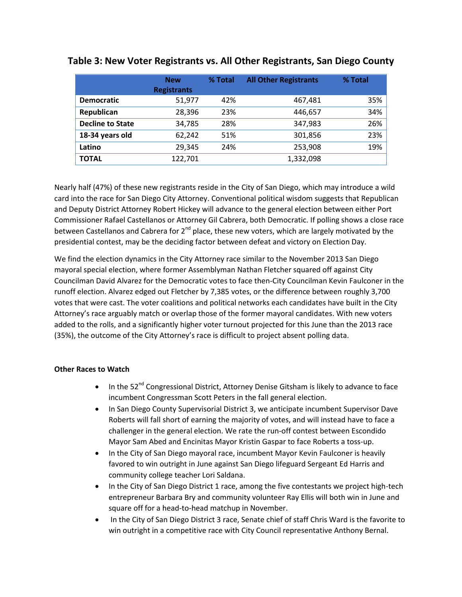|                         | <b>New</b><br><b>Registrants</b> | % Total | <b>All Other Registrants</b> | % Total |
|-------------------------|----------------------------------|---------|------------------------------|---------|
| <b>Democratic</b>       | 51,977                           | 42%     | 467,481                      | 35%     |
| Republican              | 28,396                           | 23%     | 446,657                      | 34%     |
| <b>Decline to State</b> | 34,785                           | 28%     | 347,983                      | 26%     |
| 18-34 years old         | 62,242                           | 51%     | 301,856                      | 23%     |
| Latino                  | 29,345                           | 24%     | 253,908                      | 19%     |
| <b>TOTAL</b>            | 122,701                          |         | 1,332,098                    |         |

## **Table 3: New Voter Registrants vs. All Other Registrants, San Diego County**

Nearly half (47%) of these new registrants reside in the City of San Diego, which may introduce a wild card into the race for San Diego City Attorney. Conventional political wisdom suggests that Republican and Deputy District Attorney Robert Hickey will advance to the general election between either Port Commissioner Rafael Castellanos or Attorney Gil Cabrera, both Democratic. If polling shows a close race between Castellanos and Cabrera for 2<sup>nd</sup> place, these new voters, which are largely motivated by the presidential contest, may be the deciding factor between defeat and victory on Election Day.

We find the election dynamics in the City Attorney race similar to the November 2013 San Diego mayoral special election, where former Assemblyman Nathan Fletcher squared off against City Councilman David Alvarez for the Democratic votes to face then-City Councilman Kevin Faulconer in the runoff election. Alvarez edged out Fletcher by 7,385 votes, or the difference between roughly 3,700 votes that were cast. The voter coalitions and political networks each candidates have built in the City Attorney's race arguably match or overlap those of the former mayoral candidates. With new voters added to the rolls, and a significantly higher voter turnout projected for this June than the 2013 race (35%), the outcome of the City Attorney's race is difficult to project absent polling data.

### **Other Races to Watch**

- In the  $52^{nd}$  Congressional District, Attorney Denise Gitsham is likely to advance to face incumbent Congressman Scott Peters in the fall general election.
- In San Diego County Supervisorial District 3, we anticipate incumbent Supervisor Dave Roberts will fall short of earning the majority of votes, and will instead have to face a challenger in the general election. We rate the run-off contest between Escondido Mayor Sam Abed and Encinitas Mayor Kristin Gaspar to face Roberts a toss-up.
- In the City of San Diego mayoral race, incumbent Mayor Kevin Faulconer is heavily favored to win outright in June against San Diego lifeguard Sergeant Ed Harris and community college teacher Lori Saldana.
- In the City of San Diego District 1 race, among the five contestants we project high-tech entrepreneur Barbara Bry and community volunteer Ray Ellis will both win in June and square off for a head-to-head matchup in November.
- In the City of San Diego District 3 race, Senate chief of staff Chris Ward is the favorite to win outright in a competitive race with City Council representative Anthony Bernal.